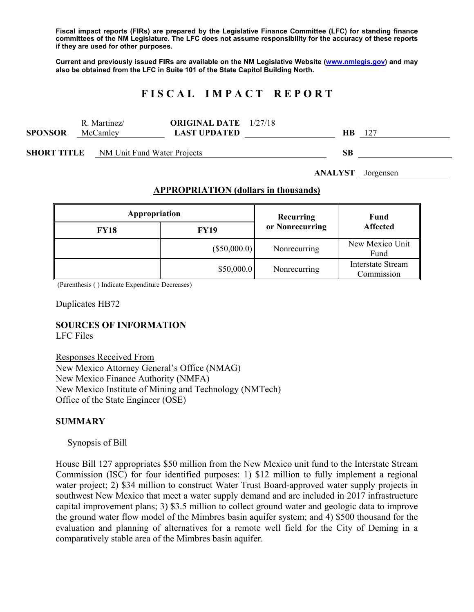**Fiscal impact reports (FIRs) are prepared by the Legislative Finance Committee (LFC) for standing finance committees of the NM Legislature. The LFC does not assume responsibility for the accuracy of these reports if they are used for other purposes.** 

**Current and previously issued FIRs are available on the NM Legislative Website (www.nmlegis.gov) and may also be obtained from the LFC in Suite 101 of the State Capitol Building North.** 

# **F I S C A L I M P A C T R E P O R T**

|                | R.<br>Martinez/ | <b>ORIGINAL DATE</b> 1/27/18 |    |     |
|----------------|-----------------|------------------------------|----|-----|
| <b>SPONSOR</b> | McCamley        | LAST UPDATED.                | HВ | 127 |
|                |                 |                              |    |     |

**SHORT TITLE** NM Unit Fund Water Projects **SB** 

**ANALYST** Jorgensen

#### **APPROPRIATION (dollars in thousands)**

| Appropriation |              | Recurring<br>or Nonrecurring | Fund<br><b>Affected</b>                |
|---------------|--------------|------------------------------|----------------------------------------|
| <b>FY18</b>   | <b>FY19</b>  |                              |                                        |
|               | (\$50,000.0) | Nonrecurring                 | New Mexico Unit<br>Fund                |
|               | \$50,000.0   | Nonrecurring                 | <b>Interstate Stream</b><br>Commission |

(Parenthesis ( ) Indicate Expenditure Decreases)

Duplicates HB72

# **SOURCES OF INFORMATION**

LFC Files

Responses Received From New Mexico Attorney General's Office (NMAG) New Mexico Finance Authority (NMFA) New Mexico Institute of Mining and Technology (NMTech) Office of the State Engineer (OSE)

#### **SUMMARY**

#### Synopsis of Bill

House Bill 127 appropriates \$50 million from the New Mexico unit fund to the Interstate Stream Commission (ISC) for four identified purposes: 1) \$12 million to fully implement a regional water project; 2) \$34 million to construct Water Trust Board-approved water supply projects in southwest New Mexico that meet a water supply demand and are included in 2017 infrastructure capital improvement plans; 3) \$3.5 million to collect ground water and geologic data to improve the ground water flow model of the Mimbres basin aquifer system; and 4) \$500 thousand for the evaluation and planning of alternatives for a remote well field for the City of Deming in a comparatively stable area of the Mimbres basin aquifer.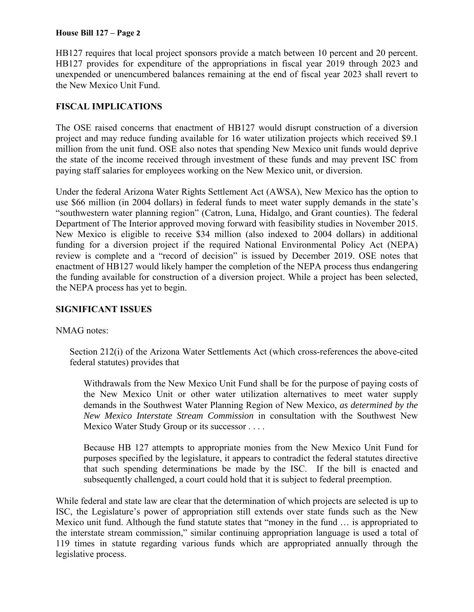#### **House Bill 127 – Page 2**

HB127 requires that local project sponsors provide a match between 10 percent and 20 percent. HB127 provides for expenditure of the appropriations in fiscal year 2019 through 2023 and unexpended or unencumbered balances remaining at the end of fiscal year 2023 shall revert to the New Mexico Unit Fund.

## **FISCAL IMPLICATIONS**

The OSE raised concerns that enactment of HB127 would disrupt construction of a diversion project and may reduce funding available for 16 water utilization projects which received \$9.1 million from the unit fund. OSE also notes that spending New Mexico unit funds would deprive the state of the income received through investment of these funds and may prevent ISC from paying staff salaries for employees working on the New Mexico unit, or diversion.

Under the federal Arizona Water Rights Settlement Act (AWSA), New Mexico has the option to use \$66 million (in 2004 dollars) in federal funds to meet water supply demands in the state's "southwestern water planning region" (Catron, Luna, Hidalgo, and Grant counties). The federal Department of The Interior approved moving forward with feasibility studies in November 2015. New Mexico is eligible to receive \$34 million (also indexed to 2004 dollars) in additional funding for a diversion project if the required National Environmental Policy Act (NEPA) review is complete and a "record of decision" is issued by December 2019. OSE notes that enactment of HB127 would likely hamper the completion of the NEPA process thus endangering the funding available for construction of a diversion project. While a project has been selected, the NEPA process has yet to begin.

## **SIGNIFICANT ISSUES**

## NMAG notes:

Section 212(i) of the Arizona Water Settlements Act (which cross-references the above-cited federal statutes) provides that

Withdrawals from the New Mexico Unit Fund shall be for the purpose of paying costs of the New Mexico Unit or other water utilization alternatives to meet water supply demands in the Southwest Water Planning Region of New Mexico, *as determined by the New Mexico Interstate Stream Commission* in consultation with the Southwest New Mexico Water Study Group or its successor . . . .

Because HB 127 attempts to appropriate monies from the New Mexico Unit Fund for purposes specified by the legislature, it appears to contradict the federal statutes directive that such spending determinations be made by the ISC. If the bill is enacted and subsequently challenged, a court could hold that it is subject to federal preemption.

While federal and state law are clear that the determination of which projects are selected is up to ISC, the Legislature's power of appropriation still extends over state funds such as the New Mexico unit fund. Although the fund statute states that "money in the fund … is appropriated to the interstate stream commission," similar continuing appropriation language is used a total of 119 times in statute regarding various funds which are appropriated annually through the legislative process.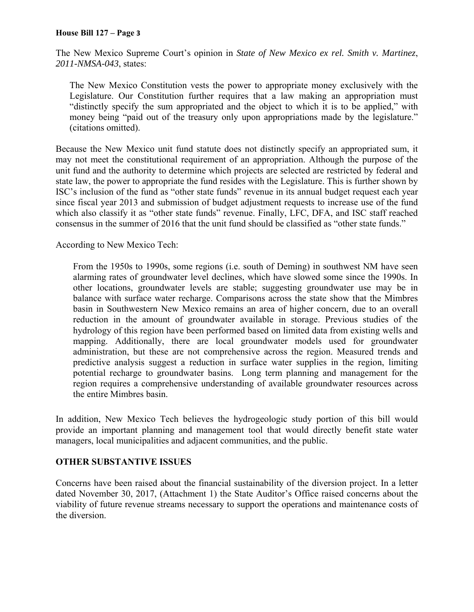#### **House Bill 127 – Page 3**

The New Mexico Supreme Court's opinion in *State of New Mexico ex rel. Smith v. Martinez*, *2011-NMSA-043*, states:

The New Mexico Constitution vests the power to appropriate money exclusively with the Legislature. Our Constitution further requires that a law making an appropriation must "distinctly specify the sum appropriated and the object to which it is to be applied," with money being "paid out of the treasury only upon appropriations made by the legislature." (citations omitted).

Because the New Mexico unit fund statute does not distinctly specify an appropriated sum, it may not meet the constitutional requirement of an appropriation. Although the purpose of the unit fund and the authority to determine which projects are selected are restricted by federal and state law, the power to appropriate the fund resides with the Legislature. This is further shown by ISC's inclusion of the fund as "other state funds" revenue in its annual budget request each year since fiscal year 2013 and submission of budget adjustment requests to increase use of the fund which also classify it as "other state funds" revenue. Finally, LFC, DFA, and ISC staff reached consensus in the summer of 2016 that the unit fund should be classified as "other state funds."

According to New Mexico Tech:

From the 1950s to 1990s, some regions (i.e. south of Deming) in southwest NM have seen alarming rates of groundwater level declines, which have slowed some since the 1990s. In other locations, groundwater levels are stable; suggesting groundwater use may be in balance with surface water recharge. Comparisons across the state show that the Mimbres basin in Southwestern New Mexico remains an area of higher concern, due to an overall reduction in the amount of groundwater available in storage. Previous studies of the hydrology of this region have been performed based on limited data from existing wells and mapping. Additionally, there are local groundwater models used for groundwater administration, but these are not comprehensive across the region. Measured trends and predictive analysis suggest a reduction in surface water supplies in the region, limiting potential recharge to groundwater basins. Long term planning and management for the region requires a comprehensive understanding of available groundwater resources across the entire Mimbres basin.

In addition, New Mexico Tech believes the hydrogeologic study portion of this bill would provide an important planning and management tool that would directly benefit state water managers, local municipalities and adjacent communities, and the public.

#### **OTHER SUBSTANTIVE ISSUES**

Concerns have been raised about the financial sustainability of the diversion project. In a letter dated November 30, 2017, (Attachment 1) the State Auditor's Office raised concerns about the viability of future revenue streams necessary to support the operations and maintenance costs of the diversion.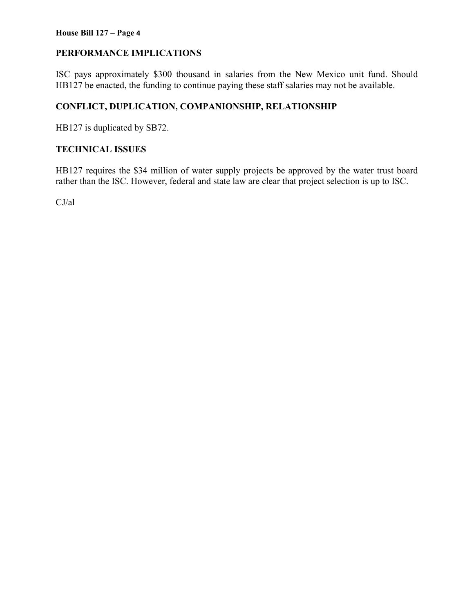## **PERFORMANCE IMPLICATIONS**

ISC pays approximately \$300 thousand in salaries from the New Mexico unit fund. Should HB127 be enacted, the funding to continue paying these staff salaries may not be available.

# **CONFLICT, DUPLICATION, COMPANIONSHIP, RELATIONSHIP**

HB127 is duplicated by SB72.

### **TECHNICAL ISSUES**

HB127 requires the \$34 million of water supply projects be approved by the water trust board rather than the ISC. However, federal and state law are clear that project selection is up to ISC.

CJ/al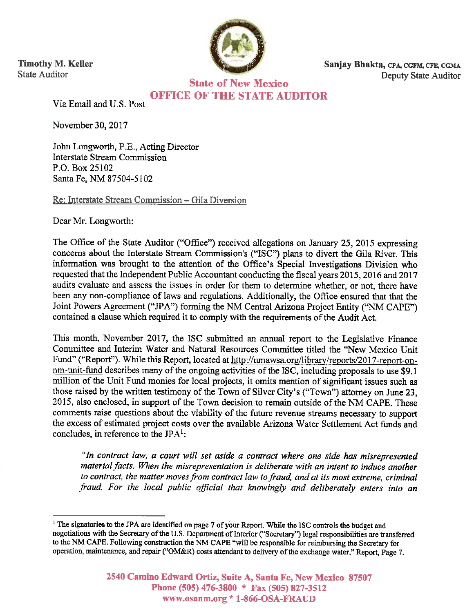

**Timothy M. Keller State Auditor** 

Sanjay Bhakta, CPA, CGFM, CFE, CGMA Deputy State Auditor

**State of New Mexico OFFICE OF THE STATE AUDITOR** 

Via Email and U.S. Post

November 30, 2017

John Longworth, P.E., Acting Director **Interstate Stream Commission** P.O. Box 25102 Santa Fe, NM 87504-5102

Re: Interstate Stream Commission - Gila Diversion

Dear Mr. Longworth:

The Office of the State Auditor ("Office") received allegations on January 25, 2015 expressing concerns about the Interstate Stream Commission's ("ISC") plans to divert the Gila River. This information was brought to the attention of the Office's Special Investigations Division who requested that the Independent Public Accountant conducting the fiscal years 2015, 2016 and 2017 audits evaluate and assess the issues in order for them to determine whether, or not, there have been any non-compliance of laws and regulations. Additionally, the Office ensured that that the Joint Powers Agreement ("JPA") forming the NM Central Arizona Project Entity ("NM CAPE") contained a clause which required it to comply with the requirements of the Audit Act.

This month, November 2017, the ISC submitted an annual report to the Legislative Finance Committee and Interim Water and Natural Resources Committee titled the "New Mexico Unit" Fund" ("Report"). While this Report, located at http://nmawsa.org/library/reports/2017-report-onnm-unit-fund describes many of the ongoing activities of the ISC, including proposals to use \$9.1 million of the Unit Fund monies for local projects, it omits mention of significant issues such as those raised by the written testimony of the Town of Silver City's ("Town") attorney on June 23, 2015, also enclosed, in support of the Town decision to remain outside of the NM CAPE. These comments raise questions about the viability of the future revenue streams necessary to support the excess of estimated project costs over the available Arizona Water Settlement Act funds and concludes, in reference to the  $JPA<sup>1</sup>$ :

"In contract law, a court will set aside a contract where one side has misrepresented material facts. When the misrepresentation is deliberate with an intent to induce another to contract, the matter moves from contract law to fraud, and at its most extreme, criminal fraud. For the local public official that knowingly and deliberately enters into an

<sup>&</sup>lt;sup>1</sup> The signatories to the JPA are identified on page 7 of your Report. While the ISC controls the budget and negotiations with the Secretary of the U.S. Department of Interior ("Secretary") legal responsibilities are transferred to the NM CAPE. Following construction the NM CAPE "will be responsible for reimbursing the Secretary for operation, maintenance, and repair ("OM&R) costs attendant to delivery of the exchange water." Report, Page 7.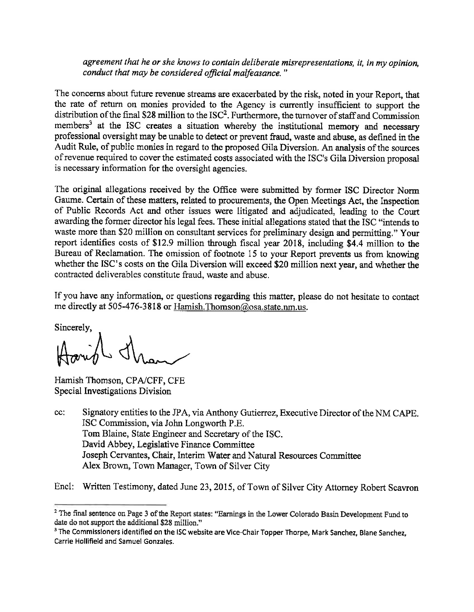agreement that he or she knows to contain deliberate misrepresentations, it, in my opinion, conduct that may be considered official malfeasance."

The concerns about future revenue streams are exacerbated by the risk, noted in your Report, that the rate of return on monies provided to the Agency is currently insufficient to support the distribution of the final \$28 million to the ISC<sup>2</sup>. Furthermore, the turnover of staff and Commission members<sup>3</sup> at the ISC creates a situation whereby the institutional memory and necessary professional oversight may be unable to detect or prevent fraud, waste and abuse, as defined in the Audit Rule, of public monies in regard to the proposed Gila Diversion. An analysis of the sources of revenue required to cover the estimated costs associated with the ISC's Gila Diversion proposal is necessary information for the oversight agencies.

The original allegations received by the Office were submitted by former ISC Director Norm Gaume. Certain of these matters, related to procurements, the Open Meetings Act, the Inspection of Public Records Act and other issues were litigated and adjudicated, leading to the Court awarding the former director his legal fees. These initial allegations stated that the ISC "intends to waste more than \$20 million on consultant services for preliminary design and permitting." Your report identifies costs of \$12.9 million through fiscal year 2018, including \$4.4 million to the Bureau of Reclamation. The omission of footnote 15 to your Report prevents us from knowing whether the ISC's costs on the Gila Diversion will exceed \$20 million next year, and whether the contracted deliverables constitute fraud, waste and abuse.

If you have any information, or questions regarding this matter, please do not hesitate to contact me directly at 505-476-3818 or Hamish. Thomson@osa.state.nm.us.

Sincerely,

Hamish Thomson, CPA/CFF, CFE Special Investigations Division

Signatory entities to the JPA, via Anthony Gutierrez, Executive Director of the NM CAPE.  $cc$ : ISC Commission, via John Longworth P.E. Tom Blaine, State Engineer and Secretary of the ISC. David Abbey, Legislative Finance Committee Joseph Cervantes, Chair, Interim Water and Natural Resources Committee Alex Brown, Town Manager, Town of Silver City

Encl: Written Testimony, dated June 23, 2015, of Town of Silver City Attorney Robert Scavron

<sup>&</sup>lt;sup>2</sup> The final sentence on Page 3 of the Report states: "Earnings in the Lower Colorado Basin Development Fund to date do not support the additional \$28 million."

<sup>&</sup>lt;sup>3</sup> The Commissioners identified on the ISC website are Vice-Chair Topper Thorpe, Mark Sanchez, Blane Sanchez, Carrie Hollifield and Samuel Gonzales.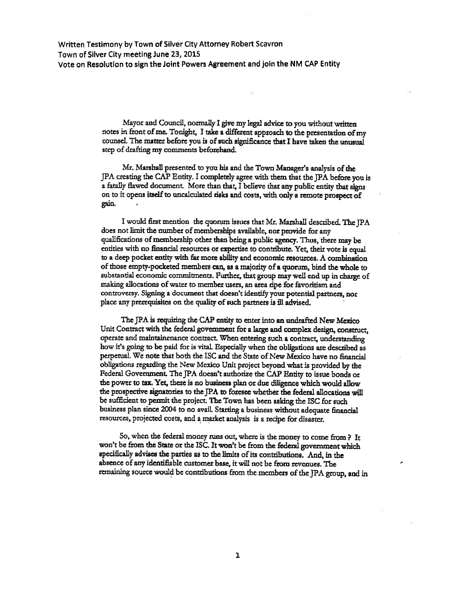Written Testimony by Town of Silver City Attorney Robert Scavron Town of Silver City meeting June 23, 2015 Vote on Resolution to sign the Joint Powers Agreement and join the NM CAP Entity

> Mayor and Council, normally I give my legal advice to you without written notes in front of me. Tonight, I take a different approach to the presentation of my counsel. The matter before you is of such significance that I have taken the unusual step of drafting my comments beforehand.

Mr. Marshall presented to you his and the Town Manager's analysis of the JPA creating the CAP Entity. I completely agree with them that the JPA before you is a fatally flawed document. More than that, I believe that any public entity that signs on to it opens itself to uncalculated risks and costs, with only a remote prospect of gain.

I would first mention the quorum issues that Mr. Marshall described. The JPA does not limit the number of memberships available, nor provide for any qualifications of membership other than being a public agency. Thus, there may be entities with no financial resources or expertise to contribute. Yet, their vote is equal to a deep pocket entity with far more ability and economic resources. A combination of those empty-pocketed members can, as a majority of a quorum, bind the whole to substantial economic commitments. Further, that group may well end up in charge of making allocations of water to member users, an area ripe for favoritism and controversy. Signing a document that doesn't identify your potential partners, nor place any prerequisites on the quality of such partners is ill advised.

The JPA is requiring the CAP entity to enter into an undrafted New Mexico Unit Contract with the federal government for a large and complex design, construct, operate and maintainenance contract. When entering such a contract, understanding how it's going to be paid for is vital. Especially when the obligations are described as perpetual. We note that both the ISC and the State of New Mexico have no financial obligations regarding the New Mexico Unit project beyond what is provided by the Federal Government. The JPA doesn't authorize the CAP Entity to issue bonds or the power to tax. Yet, there is no business plan or due diligence which would allow the prospective signatories to the JPA to foresee whether the federal allocations will be sufficient to permit the project. The Town has been asking the ISC for such business plan since 2004 to no avail. Starting a business without adequate financial resources, projected costs, and a market analysis is a recipe for disaster.

So, when the federal money runs out, where is the money to come from ? It won't be from the State or the ISC. It won't be from the federal government which specifically advises the parties as to the limits of its contributions. And, in the absence of any identifiable customer base, it will not be from revenues. The remaining source would be contributions from the members of the JPA group, and in

J.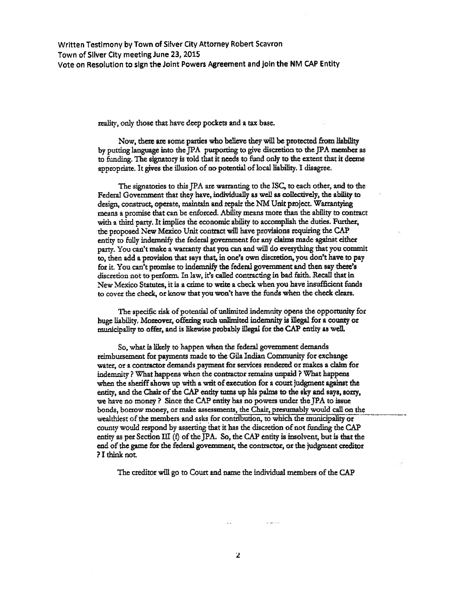Written Testimony by Town of Silver City Attorney Robert Scavron Town of Silver City meeting June 23, 2015 Vote on Resolution to sign the Joint Powers Agreement and join the NM CAP Entity

reality, only those that have deep pockets and a tax base.

Now, there are some parties who believe they will be protected from liability by putting language into the JPA purporting to give discretion to the JPA member as to funding. The signatory is told that it needs to fund only to the extent that it deems appropriate. It gives the illusion of no potential of local liability. I disagree.

The signatories to this IPA are warranting to the ISC, to each other, and to the Federal Government that they have, individually as well as collectively, the ability to design, construct, operate, maintain and repair the NM Unit project. Warrantying means a promise that can be enforced. Ability means more than the ability to contract with a third party. It implies the economic ability to accomplish the duties. Further, the proposed New Mexico Unit contract will have provisions requiring the CAP entity to fully indemnify the federal government for any claims made against either party. You can't make a warranty that you can and will do everything that you commit to, then add a provision that says that, in one's own discretion, you don't have to pay for it. You can't promise to indemnify the federal government and then say there's discretion not to perform. In law, it's called contracting in bad faith. Recall that in New Mexico Statutes, it is a crime to write a check when you have insufficient funds to cover the check, or know that you won't have the funds when the check clears.

The specific risk of potential of unlimited indemnity opens the opportunity for huge liability. Moreover, offering such unlimited indemnity is illegal for a county or municipality to offer, and is likewise probably illegal for the CAP entity as well.

So, what is likely to happen when the federal government demands reimbursement for payments made to the Gila Indian Community for exchange water, or a contractor demands payment for services rendered or makes a claim for indemnity? What happens when the contractor remains unpaid? What happens when the sheriff shows up with a writ of execution for a court judgment against the entity, and the Chair of the CAP entity turns up his palms to the sky and says, sorry, we have no money? Since the CAP entity has no powers under the JPA to issue bonds, borrow money, or make assessments, the Chair, presumably would call on the wealthiest of the members and asks for contribution, to which the municipality or county would respond by asserting that it has the discretion of not funding the CAP entity as per Section III (f) of the JPA. So, the CAP entity is insolvent, but is that the end of the game for the federal government, the contractor, or the judgment creditor ? I think not.

The creditor will go to Court and name the individual members of the CAP